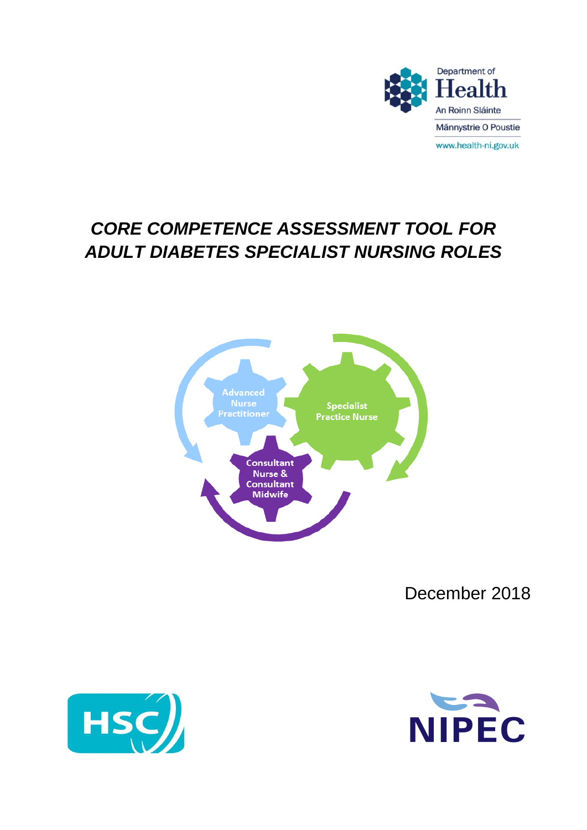

# *CORE COMPETENCE ASSESSMENT TOOL FOR ADULT DIABETES SPECIALIST NURSING ROLES*



December 2018



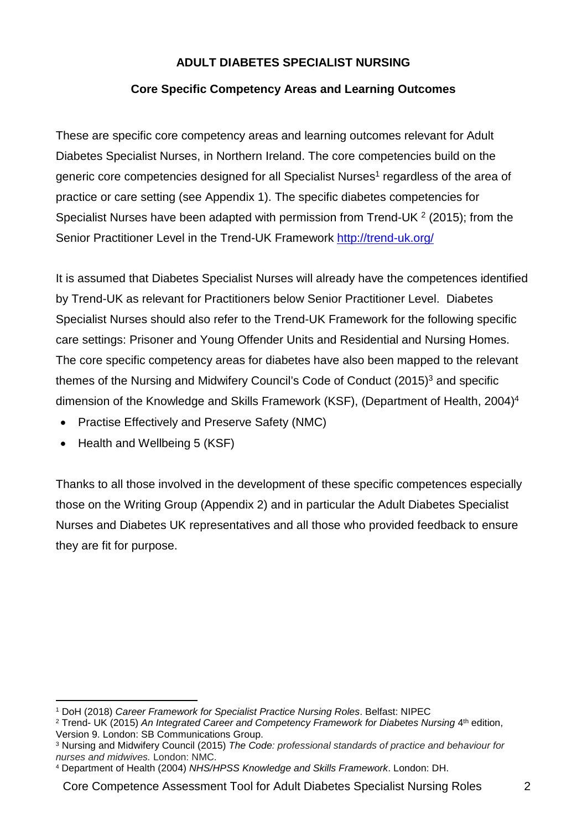# **ADULT DIABETES SPECIALIST NURSING**

### **Core Specific Competency Areas and Learning Outcomes**

These are specific core competency areas and learning outcomes relevant for Adult Diabetes Specialist Nurses, in Northern Ireland. The core competencies build on the generic core competencies designed for all Specialist Nurses<sup>1</sup> regardless of the area of practice or care setting (see Appendix 1). The specific diabetes competencies for Specialist Nurses have been adapted with permission from Trend-UK  $2$  (2015); from the Senior Practitioner Level in the Trend-UK Framework http://trend-uk.org/

It is assumed that Diabetes Specialist Nurses will already have the competences identified by Trend-UK as relevant for Practitioners below Senior Practitioner Level. Diabetes Specialist Nurses should also refer to the Trend-UK Framework for the following specific care settings: Prisoner and Young Offender Units and Residential and Nursing Homes. The core specific competency areas for diabetes have also been mapped to the relevant themes of the Nursing and Midwifery Council's Code of Conduct (2015)<sup>3</sup> and specific dimension of the Knowledge and Skills Framework (KSF), (Department of Health, 2004)<sup>4</sup>

- Practise Effectively and Preserve Safety (NMC)
- Health and Wellbeing 5 (KSF)

Thanks to all those involved in the development of these specific competences especially those on the Writing Group (Appendix 2) and in particular the Adult Diabetes Specialist Nurses and Diabetes UK representatives and all those who provided feedback to ensure they are fit for purpose.

<sup>1</sup> DoH (2018) *Career Framework for Specialist Practice Nursing Roles*. Belfast: NIPEC

<sup>&</sup>lt;sup>2</sup> Trend- UK (2015) *An Integrated Career and Competency Framework for Diabetes Nursing* 4<sup>th</sup> edition, Version 9. London: SB Communications Group.

<sup>3</sup> Nursing and Midwifery Council (2015) *The Code: professional standards of practice and behaviour for nurses and midwives.* London: NMC.

<sup>4</sup> Department of Health (2004) *NHS/HPSS Knowledge and Skills Framework*. London: DH.

Core Competence Assessment Tool for Adult Diabetes Specialist Nursing Roles 2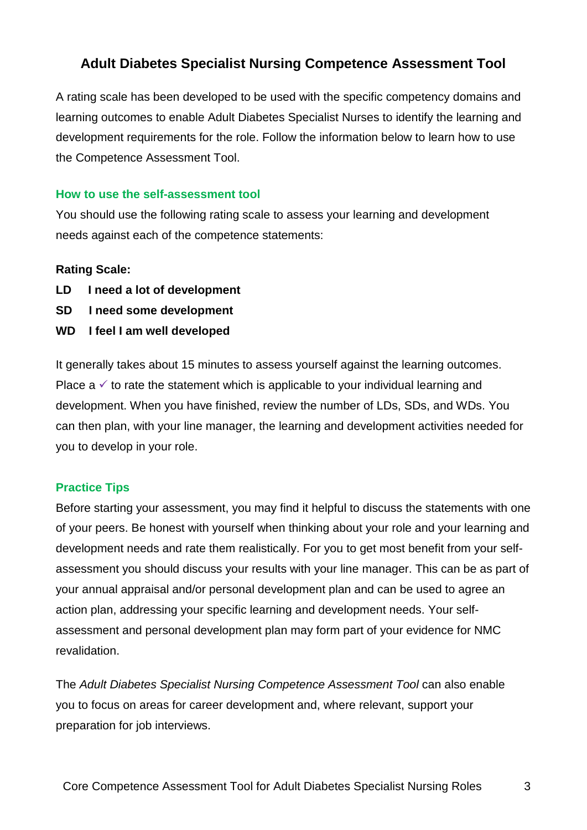# **Adult Diabetes Specialist Nursing Competence Assessment Tool**

A rating scale has been developed to be used with the specific competency domains and learning outcomes to enable Adult Diabetes Specialist Nurses to identify the learning and development requirements for the role. Follow the information below to learn how to use the Competence Assessment Tool.

#### **How to use the self-assessment tool**

You should use the following rating scale to assess your learning and development needs against each of the competence statements:

# **Rating Scale:**

- **LD I need a lot of development**
- **SD I need some development**
- **WD I feel I am well developed**

It generally takes about 15 minutes to assess yourself against the learning outcomes. Place  $a \vee$  to rate the statement which is applicable to your individual learning and development. When you have finished, review the number of LDs, SDs, and WDs. You can then plan, with your line manager, the learning and development activities needed for you to develop in your role.

# **Practice Tips**

Before starting your assessment, you may find it helpful to discuss the statements with one of your peers. Be honest with yourself when thinking about your role and your learning and development needs and rate them realistically. For you to get most benefit from your selfassessment you should discuss your results with your line manager. This can be as part of your annual appraisal and/or personal development plan and can be used to agree an action plan, addressing your specific learning and development needs. Your selfassessment and personal development plan may form part of your evidence for NMC revalidation.

The *Adult Diabetes Specialist Nursing Competence Assessment Tool* can also enable you to focus on areas for career development and, where relevant, support your preparation for job interviews.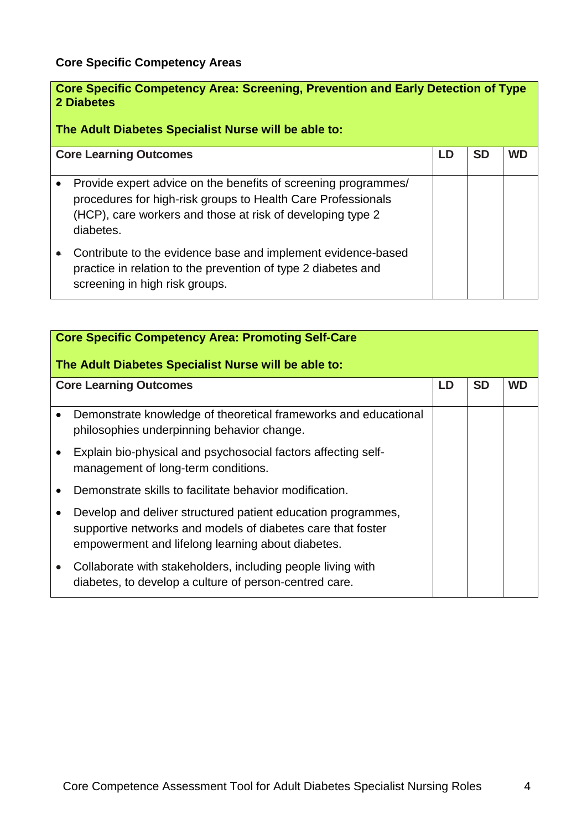# **Core Specific Competency Areas**

| Core Specific Competency Area: Screening, Prevention and Early Detection of Type<br>2 Diabetes<br>The Adult Diabetes Specialist Nurse will be able to:                                                    |  |  |  |  |  |
|-----------------------------------------------------------------------------------------------------------------------------------------------------------------------------------------------------------|--|--|--|--|--|
| <b>SD</b><br><b>Core Learning Outcomes</b><br><b>WD</b><br>LD                                                                                                                                             |  |  |  |  |  |
| Provide expert advice on the benefits of screening programmes/<br>procedures for high-risk groups to Health Care Professionals<br>(HCP), care workers and those at risk of developing type 2<br>diabetes. |  |  |  |  |  |
| Contribute to the evidence base and implement evidence-based<br>practice in relation to the prevention of type 2 diabetes and<br>screening in high risk groups.                                           |  |  |  |  |  |

|           | <b>Core Specific Competency Area: Promoting Self-Care</b><br>The Adult Diabetes Specialist Nurse will be able to:                                                                |    |           |           |  |
|-----------|----------------------------------------------------------------------------------------------------------------------------------------------------------------------------------|----|-----------|-----------|--|
|           | <b>Core Learning Outcomes</b>                                                                                                                                                    | LD | <b>SD</b> | <b>WD</b> |  |
| $\bullet$ | Demonstrate knowledge of theoretical frameworks and educational<br>philosophies underpinning behavior change.                                                                    |    |           |           |  |
|           | Explain bio-physical and psychosocial factors affecting self-<br>management of long-term conditions.                                                                             |    |           |           |  |
|           | Demonstrate skills to facilitate behavior modification.                                                                                                                          |    |           |           |  |
|           | Develop and deliver structured patient education programmes,<br>supportive networks and models of diabetes care that foster<br>empowerment and lifelong learning about diabetes. |    |           |           |  |
|           | Collaborate with stakeholders, including people living with<br>diabetes, to develop a culture of person-centred care.                                                            |    |           |           |  |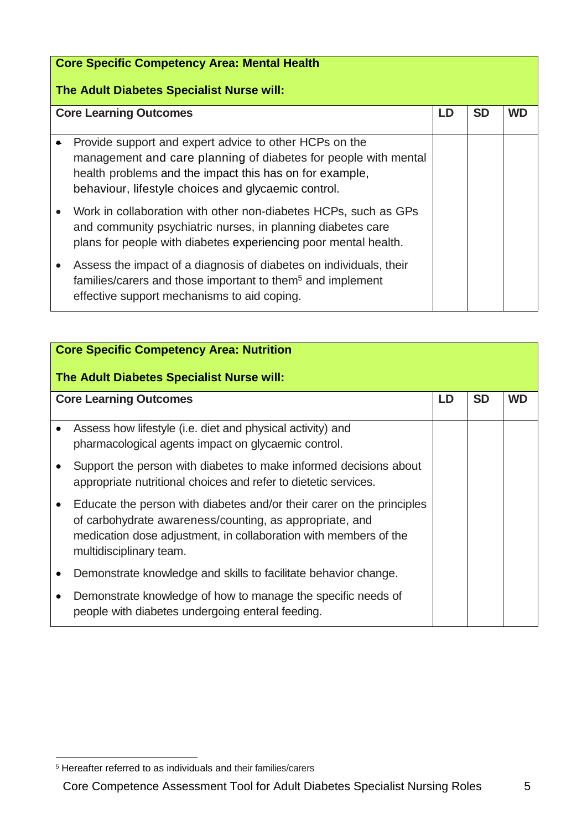| <b>Core Specific Competency Area: Mental Health</b>                                                                                                                                                                                         |  |  |  |  |  |
|---------------------------------------------------------------------------------------------------------------------------------------------------------------------------------------------------------------------------------------------|--|--|--|--|--|
| The Adult Diabetes Specialist Nurse will:                                                                                                                                                                                                   |  |  |  |  |  |
| <b>Core Learning Outcomes</b><br><b>SD</b><br>LD<br><b>WD</b>                                                                                                                                                                               |  |  |  |  |  |
| Provide support and expert advice to other HCPs on the<br>management and care planning of diabetes for people with mental<br>health problems and the impact this has on for example,<br>behaviour, lifestyle choices and glycaemic control. |  |  |  |  |  |
| Work in collaboration with other non-diabetes HCPs, such as GPs<br>and community psychiatric nurses, in planning diabetes care<br>plans for people with diabetes experiencing poor mental health.                                           |  |  |  |  |  |
| Assess the impact of a diagnosis of diabetes on individuals, their<br>families/carers and those important to them <sup>5</sup> and implement<br>effective support mechanisms to aid coping.                                                 |  |  |  |  |  |

|           | <b>Core Specific Competency Area: Nutrition</b><br>The Adult Diabetes Specialist Nurse will:                                                                                                                                    |    |           |           |  |
|-----------|---------------------------------------------------------------------------------------------------------------------------------------------------------------------------------------------------------------------------------|----|-----------|-----------|--|
|           | <b>Core Learning Outcomes</b>                                                                                                                                                                                                   | LD | <b>SD</b> | <b>WD</b> |  |
|           | Assess how lifestyle (i.e. diet and physical activity) and<br>pharmacological agents impact on glycaemic control.                                                                                                               |    |           |           |  |
|           | Support the person with diabetes to make informed decisions about<br>appropriate nutritional choices and refer to dietetic services.                                                                                            |    |           |           |  |
|           | Educate the person with diabetes and/or their carer on the principles<br>of carbohydrate awareness/counting, as appropriate, and<br>medication dose adjustment, in collaboration with members of the<br>multidisciplinary team. |    |           |           |  |
|           | Demonstrate knowledge and skills to facilitate behavior change.                                                                                                                                                                 |    |           |           |  |
| $\bullet$ | Demonstrate knowledge of how to manage the specific needs of<br>people with diabetes undergoing enteral feeding.                                                                                                                |    |           |           |  |

Core Competence Assessment Tool for Adult Diabetes Specialist Nursing Roles 5

<sup>5</sup> Hereafter referred to as individuals and their families/carers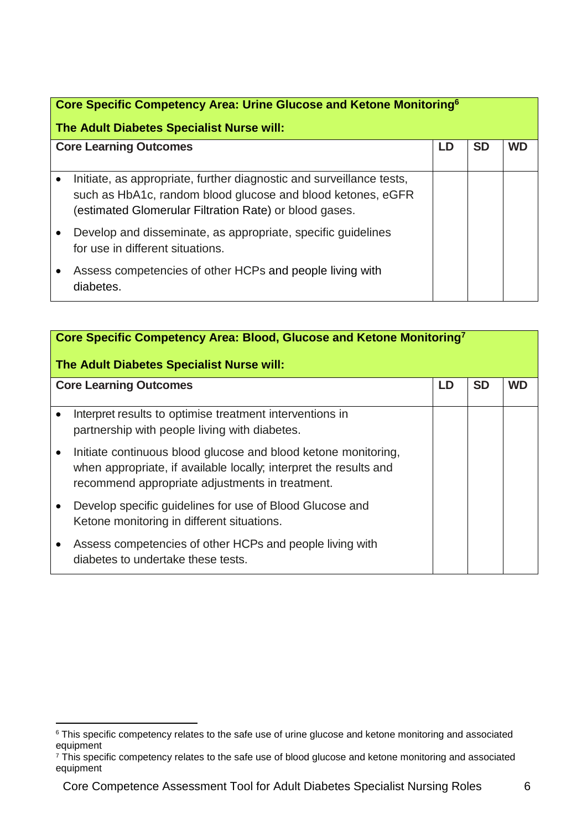| Core Specific Competency Area: Urine Glucose and Ketone Monitoring <sup>6</sup>                                                                                                               |  |  |    |  |
|-----------------------------------------------------------------------------------------------------------------------------------------------------------------------------------------------|--|--|----|--|
|                                                                                                                                                                                               |  |  |    |  |
| The Adult Diabetes Specialist Nurse will:                                                                                                                                                     |  |  |    |  |
| <b>Core Learning Outcomes</b>                                                                                                                                                                 |  |  | WD |  |
|                                                                                                                                                                                               |  |  |    |  |
| Initiate, as appropriate, further diagnostic and surveillance tests,<br>such as HbA1c, random blood glucose and blood ketones, eGFR<br>(estimated Glomerular Filtration Rate) or blood gases. |  |  |    |  |
| Develop and disseminate, as appropriate, specific guidelines<br>for use in different situations.                                                                                              |  |  |    |  |
| Assess competencies of other HCPs and people living with<br>diabetes.                                                                                                                         |  |  |    |  |

| Core Specific Competency Area: Blood, Glucose and Ketone Monitoring <sup>7</sup><br>The Adult Diabetes Specialist Nurse will:                                                          |    |           |           |  |
|----------------------------------------------------------------------------------------------------------------------------------------------------------------------------------------|----|-----------|-----------|--|
| <b>Core Learning Outcomes</b>                                                                                                                                                          | LD | <b>SD</b> | <b>WD</b> |  |
| Interpret results to optimise treatment interventions in<br>partnership with people living with diabetes.                                                                              |    |           |           |  |
| Initiate continuous blood glucose and blood ketone monitoring,<br>when appropriate, if available locally; interpret the results and<br>recommend appropriate adjustments in treatment. |    |           |           |  |
| Develop specific guidelines for use of Blood Glucose and<br>Ketone monitoring in different situations.                                                                                 |    |           |           |  |
| Assess competencies of other HCPs and people living with<br>diabetes to undertake these tests.                                                                                         |    |           |           |  |

<sup>&</sup>lt;sup>6</sup> This specific competency relates to the safe use of urine glucose and ketone monitoring and associated equipment

 $7$  This specific competency relates to the safe use of blood glucose and ketone monitoring and associated equipment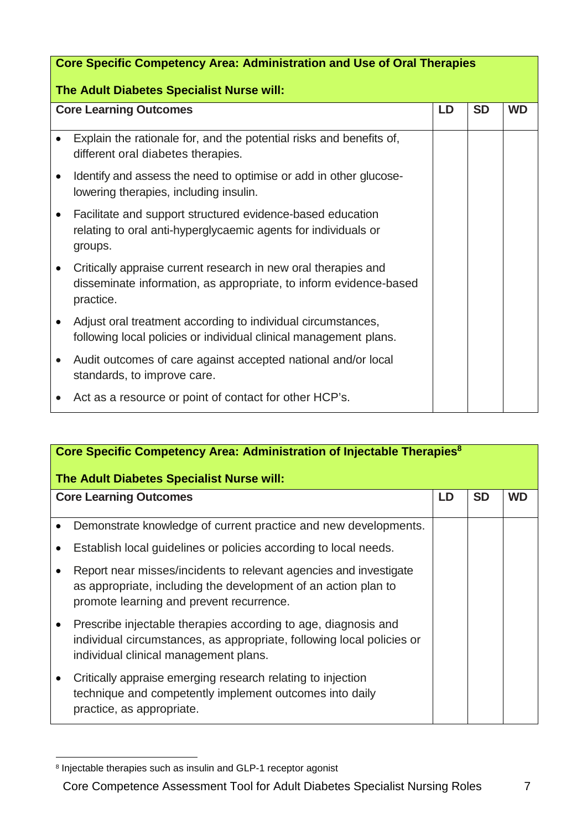|           | <b>Core Specific Competency Area: Administration and Use of Oral Therapies</b>                                                                   |    |           |           |  |
|-----------|--------------------------------------------------------------------------------------------------------------------------------------------------|----|-----------|-----------|--|
|           | The Adult Diabetes Specialist Nurse will:                                                                                                        |    |           |           |  |
|           | <b>Core Learning Outcomes</b>                                                                                                                    | LD | <b>SD</b> | <b>WD</b> |  |
| $\bullet$ | Explain the rationale for, and the potential risks and benefits of,<br>different oral diabetes therapies.                                        |    |           |           |  |
|           | Identify and assess the need to optimise or add in other glucose-<br>lowering therapies, including insulin.                                      |    |           |           |  |
|           | Facilitate and support structured evidence-based education<br>relating to oral anti-hyperglycaemic agents for individuals or<br>groups.          |    |           |           |  |
|           | Critically appraise current research in new oral therapies and<br>disseminate information, as appropriate, to inform evidence-based<br>practice. |    |           |           |  |
|           | Adjust oral treatment according to individual circumstances,<br>following local policies or individual clinical management plans.                |    |           |           |  |
| $\bullet$ | Audit outcomes of care against accepted national and/or local<br>standards, to improve care.                                                     |    |           |           |  |
|           | Act as a resource or point of contact for other HCP's.                                                                                           |    |           |           |  |

| Core Specific Competency Area: Administration of Injectable Therapies <sup>8</sup><br>The Adult Diabetes Specialist Nurse will:                                                  |  |           |           |  |
|----------------------------------------------------------------------------------------------------------------------------------------------------------------------------------|--|-----------|-----------|--|
| <b>Core Learning Outcomes</b>                                                                                                                                                    |  | <b>SD</b> | <b>WD</b> |  |
| Demonstrate knowledge of current practice and new developments.                                                                                                                  |  |           |           |  |
| Establish local guidelines or policies according to local needs.                                                                                                                 |  |           |           |  |
| Report near misses/incidents to relevant agencies and investigate<br>as appropriate, including the development of an action plan to<br>promote learning and prevent recurrence.  |  |           |           |  |
| Prescribe injectable therapies according to age, diagnosis and<br>individual circumstances, as appropriate, following local policies or<br>individual clinical management plans. |  |           |           |  |
| Critically appraise emerging research relating to injection<br>technique and competently implement outcomes into daily<br>practice, as appropriate.                              |  |           |           |  |

<sup>&</sup>lt;sup>8</sup> Injectable therapies such as insulin and GLP-1 receptor agonist

Core Competence Assessment Tool for Adult Diabetes Specialist Nursing Roles 7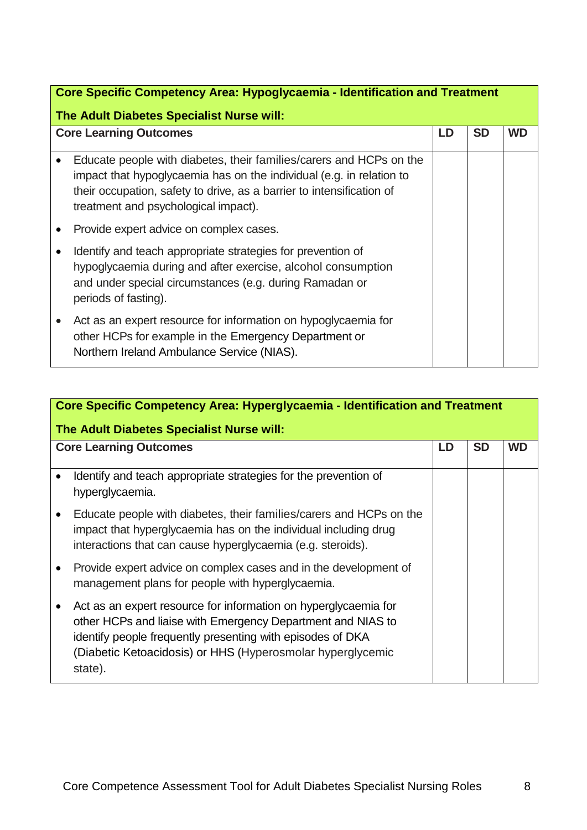| Core Specific Competency Area: Hypoglycaemia - Identification and Treatment<br>The Adult Diabetes Specialist Nurse will:                                                                                                                                     |    |           |           |  |
|--------------------------------------------------------------------------------------------------------------------------------------------------------------------------------------------------------------------------------------------------------------|----|-----------|-----------|--|
| <b>Core Learning Outcomes</b>                                                                                                                                                                                                                                | LD | <b>SD</b> | <b>WD</b> |  |
| Educate people with diabetes, their families/carers and HCPs on the<br>impact that hypoglycaemia has on the individual (e.g. in relation to<br>their occupation, safety to drive, as a barrier to intensification of<br>treatment and psychological impact). |    |           |           |  |
| Provide expert advice on complex cases.                                                                                                                                                                                                                      |    |           |           |  |
| Identify and teach appropriate strategies for prevention of<br>hypoglycaemia during and after exercise, alcohol consumption<br>and under special circumstances (e.g. during Ramadan or<br>periods of fasting).                                               |    |           |           |  |
| Act as an expert resource for information on hypoglycaemia for<br>other HCPs for example in the Emergency Department or<br>Northern Ireland Ambulance Service (NIAS).                                                                                        |    |           |           |  |

| Core Specific Competency Area: Hyperglycaemia - Identification and Treatment<br>The Adult Diabetes Specialist Nurse will:                                                                                                                                             |    |           |    |
|-----------------------------------------------------------------------------------------------------------------------------------------------------------------------------------------------------------------------------------------------------------------------|----|-----------|----|
| <b>Core Learning Outcomes</b>                                                                                                                                                                                                                                         | LD | <b>SD</b> | WD |
| Identify and teach appropriate strategies for the prevention of<br>hyperglycaemia.                                                                                                                                                                                    |    |           |    |
| Educate people with diabetes, their families/carers and HCPs on the<br>impact that hyperglycaemia has on the individual including drug<br>interactions that can cause hyperglycaemia (e.g. steroids).                                                                 |    |           |    |
| Provide expert advice on complex cases and in the development of<br>management plans for people with hyperglycaemia.                                                                                                                                                  |    |           |    |
| Act as an expert resource for information on hyperglycaemia for<br>other HCPs and liaise with Emergency Department and NIAS to<br>identify people frequently presenting with episodes of DKA<br>(Diabetic Ketoacidosis) or HHS (Hyperosmolar hyperglycemic<br>state). |    |           |    |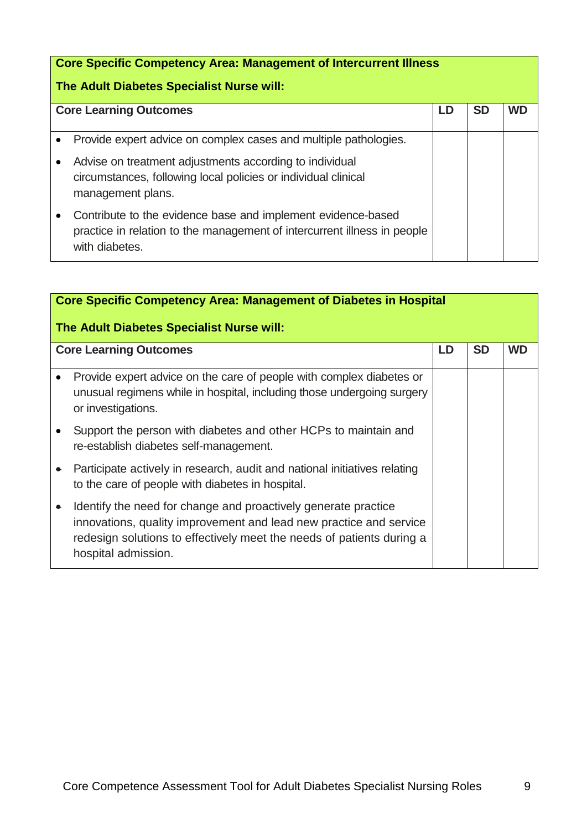| <b>Core Specific Competency Area: Management of Intercurrent Illness</b><br>The Adult Diabetes Specialist Nurse will: |                                                                                                                                                                                                                    |    |           |    |
|-----------------------------------------------------------------------------------------------------------------------|--------------------------------------------------------------------------------------------------------------------------------------------------------------------------------------------------------------------|----|-----------|----|
|                                                                                                                       | <b>Core Learning Outcomes</b>                                                                                                                                                                                      | LD | <b>SD</b> | WD |
|                                                                                                                       | Provide expert advice on complex cases and multiple pathologies.<br>Advise on treatment adjustments according to individual<br>circumstances, following local policies or individual clinical<br>management plans. |    |           |    |
|                                                                                                                       | Contribute to the evidence base and implement evidence-based<br>practice in relation to the management of intercurrent illness in people<br>with diabetes.                                                         |    |           |    |

|           | <b>Core Specific Competency Area: Management of Diabetes in Hospital</b>                                                                                                                                                             |    |           |           |  |
|-----------|--------------------------------------------------------------------------------------------------------------------------------------------------------------------------------------------------------------------------------------|----|-----------|-----------|--|
|           | The Adult Diabetes Specialist Nurse will:                                                                                                                                                                                            |    |           |           |  |
|           | <b>Core Learning Outcomes</b>                                                                                                                                                                                                        | LD | <b>SD</b> | <b>WD</b> |  |
|           | Provide expert advice on the care of people with complex diabetes or<br>unusual regimens while in hospital, including those undergoing surgery<br>or investigations.                                                                 |    |           |           |  |
|           | Support the person with diabetes and other HCPs to maintain and<br>re-establish diabetes self-management.                                                                                                                            |    |           |           |  |
|           | Participate actively in research, audit and national initiatives relating<br>to the care of people with diabetes in hospital.                                                                                                        |    |           |           |  |
| $\bullet$ | Identify the need for change and proactively generate practice<br>innovations, quality improvement and lead new practice and service<br>redesign solutions to effectively meet the needs of patients during a<br>hospital admission. |    |           |           |  |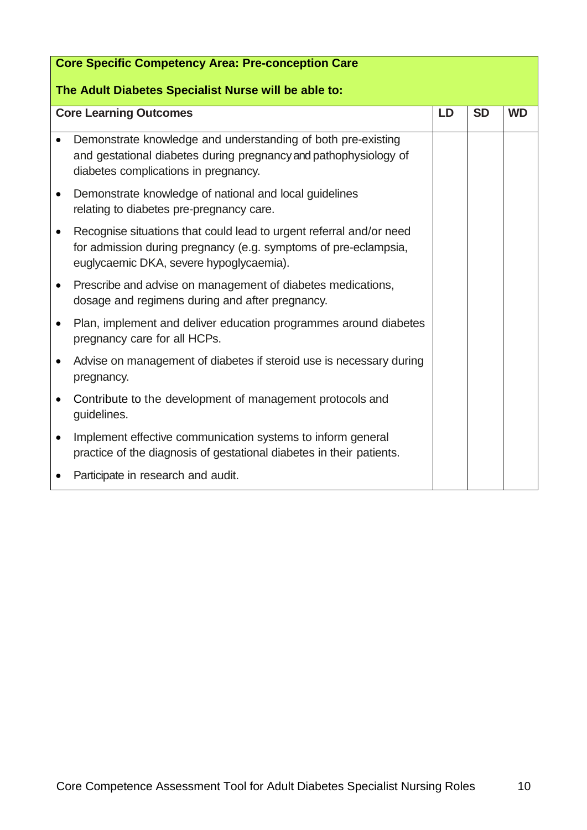| <b>Core Specific Competency Area: Pre-conception Care</b><br>The Adult Diabetes Specialist Nurse will be able to: |                                                                                                                                                                                   |    |           |           |
|-------------------------------------------------------------------------------------------------------------------|-----------------------------------------------------------------------------------------------------------------------------------------------------------------------------------|----|-----------|-----------|
|                                                                                                                   | <b>Core Learning Outcomes</b>                                                                                                                                                     | LD | <b>SD</b> | <b>WD</b> |
|                                                                                                                   | Demonstrate knowledge and understanding of both pre-existing<br>and gestational diabetes during pregnancy and pathophysiology of<br>diabetes complications in pregnancy.          |    |           |           |
| $\bullet$                                                                                                         | Demonstrate knowledge of national and local guidelines<br>relating to diabetes pre-pregnancy care.                                                                                |    |           |           |
| $\bullet$                                                                                                         | Recognise situations that could lead to urgent referral and/or need<br>for admission during pregnancy (e.g. symptoms of pre-eclampsia,<br>euglycaemic DKA, severe hypoglycaemia). |    |           |           |
| ٠                                                                                                                 | Prescribe and advise on management of diabetes medications,<br>dosage and regimens during and after pregnancy.                                                                    |    |           |           |
| $\bullet$                                                                                                         | Plan, implement and deliver education programmes around diabetes<br>pregnancy care for all HCPs.                                                                                  |    |           |           |
| ٠                                                                                                                 | Advise on management of diabetes if steroid use is necessary during<br>pregnancy.                                                                                                 |    |           |           |
| $\bullet$                                                                                                         | Contribute to the development of management protocols and<br>guidelines.                                                                                                          |    |           |           |
| $\bullet$                                                                                                         | Implement effective communication systems to inform general<br>practice of the diagnosis of gestational diabetes in their patients.                                               |    |           |           |
|                                                                                                                   | Participate in research and audit.                                                                                                                                                |    |           |           |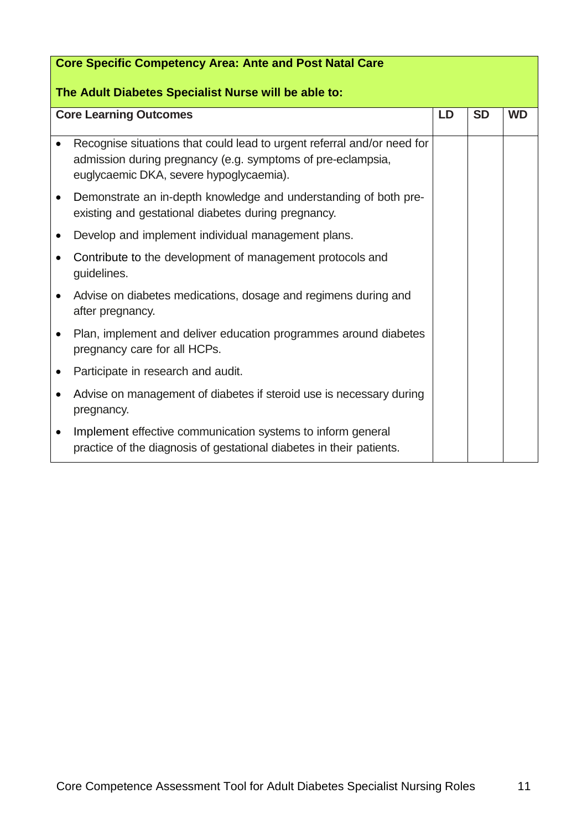| <b>Core Specific Competency Area: Ante and Post Natal Care</b> |                                                                                                                                                                                   |           |           |           |
|----------------------------------------------------------------|-----------------------------------------------------------------------------------------------------------------------------------------------------------------------------------|-----------|-----------|-----------|
| The Adult Diabetes Specialist Nurse will be able to:           |                                                                                                                                                                                   |           |           |           |
|                                                                | <b>Core Learning Outcomes</b>                                                                                                                                                     | <b>LD</b> | <b>SD</b> | <b>WD</b> |
|                                                                | Recognise situations that could lead to urgent referral and/or need for<br>admission during pregnancy (e.g. symptoms of pre-eclampsia,<br>euglycaemic DKA, severe hypoglycaemia). |           |           |           |
| $\bullet$                                                      | Demonstrate an in-depth knowledge and understanding of both pre-<br>existing and gestational diabetes during pregnancy.                                                           |           |           |           |
|                                                                | Develop and implement individual management plans.                                                                                                                                |           |           |           |
|                                                                | Contribute to the development of management protocols and<br>guidelines.                                                                                                          |           |           |           |
| $\bullet$                                                      | Advise on diabetes medications, dosage and regimens during and<br>after pregnancy.                                                                                                |           |           |           |
|                                                                | Plan, implement and deliver education programmes around diabetes<br>pregnancy care for all HCPs.                                                                                  |           |           |           |
|                                                                | Participate in research and audit.                                                                                                                                                |           |           |           |
|                                                                | Advise on management of diabetes if steroid use is necessary during<br>pregnancy.                                                                                                 |           |           |           |
|                                                                | Implement effective communication systems to inform general<br>practice of the diagnosis of gestational diabetes in their patients.                                               |           |           |           |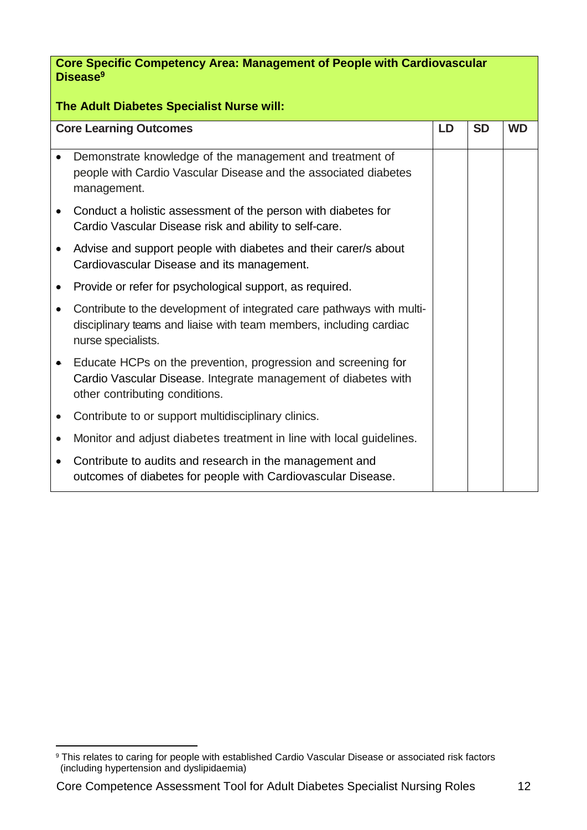**Core Specific Competency Area: Management of People with Cardiovascular Disease<sup>9</sup>**

| <b>Core Learning Outcomes</b> |                                                                                                                                                                   | LD | <b>SD</b> | <b>WD</b> |
|-------------------------------|-------------------------------------------------------------------------------------------------------------------------------------------------------------------|----|-----------|-----------|
|                               | Demonstrate knowledge of the management and treatment of<br>people with Cardio Vascular Disease and the associated diabetes<br>management.                        |    |           |           |
|                               | Conduct a holistic assessment of the person with diabetes for<br>Cardio Vascular Disease risk and ability to self-care.                                           |    |           |           |
|                               | Advise and support people with diabetes and their carer/s about<br>Cardiovascular Disease and its management.                                                     |    |           |           |
|                               | Provide or refer for psychological support, as required.                                                                                                          |    |           |           |
|                               | Contribute to the development of integrated care pathways with multi-<br>disciplinary teams and liaise with team members, including cardiac<br>nurse specialists. |    |           |           |
| $\bullet$                     | Educate HCPs on the prevention, progression and screening for<br>Cardio Vascular Disease. Integrate management of diabetes with<br>other contributing conditions. |    |           |           |
|                               | Contribute to or support multidisciplinary clinics.                                                                                                               |    |           |           |
|                               | Monitor and adjust diabetes treatment in line with local guidelines.                                                                                              |    |           |           |
|                               | Contribute to audits and research in the management and<br>outcomes of diabetes for people with Cardiovascular Disease.                                           |    |           |           |

<sup>&</sup>lt;sup>9</sup> This relates to caring for people with established Cardio Vascular Disease or associated risk factors (including hypertension and dyslipidaemia)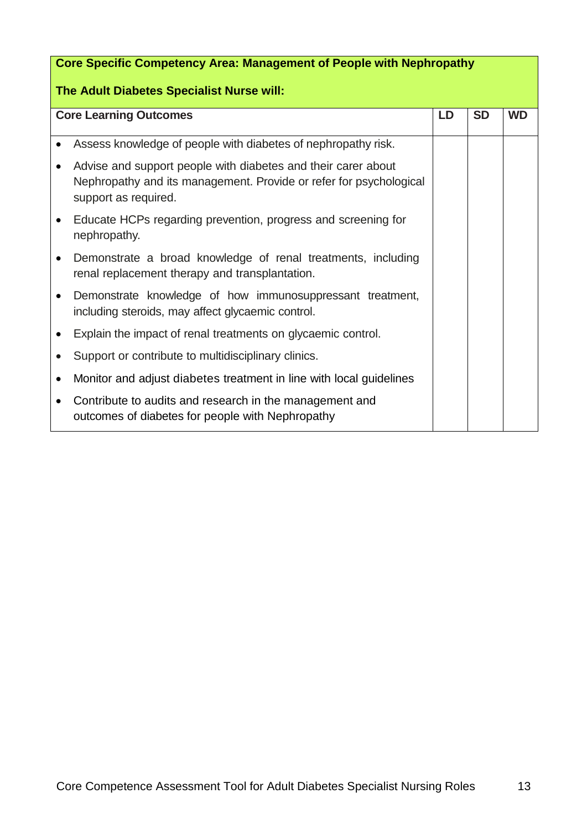| <b>Core Specific Competency Area: Management of People with Nephropathy</b> |                                                                                                                                                             |  |           |           |
|-----------------------------------------------------------------------------|-------------------------------------------------------------------------------------------------------------------------------------------------------------|--|-----------|-----------|
| The Adult Diabetes Specialist Nurse will:                                   |                                                                                                                                                             |  |           |           |
| <b>Core Learning Outcomes</b>                                               |                                                                                                                                                             |  | <b>SD</b> | <b>WD</b> |
| $\bullet$                                                                   | Assess knowledge of people with diabetes of nephropathy risk.                                                                                               |  |           |           |
| $\bullet$                                                                   | Advise and support people with diabetes and their carer about<br>Nephropathy and its management. Provide or refer for psychological<br>support as required. |  |           |           |
| $\bullet$                                                                   | Educate HCPs regarding prevention, progress and screening for<br>nephropathy.                                                                               |  |           |           |
| $\bullet$                                                                   | Demonstrate a broad knowledge of renal treatments, including<br>renal replacement therapy and transplantation.                                              |  |           |           |
| $\bullet$                                                                   | Demonstrate knowledge of how immunosuppressant treatment,<br>including steroids, may affect glycaemic control.                                              |  |           |           |
|                                                                             | Explain the impact of renal treatments on glycaemic control.                                                                                                |  |           |           |
|                                                                             | Support or contribute to multidisciplinary clinics.                                                                                                         |  |           |           |
|                                                                             | Monitor and adjust diabetes treatment in line with local guidelines                                                                                         |  |           |           |
|                                                                             | Contribute to audits and research in the management and<br>outcomes of diabetes for people with Nephropathy                                                 |  |           |           |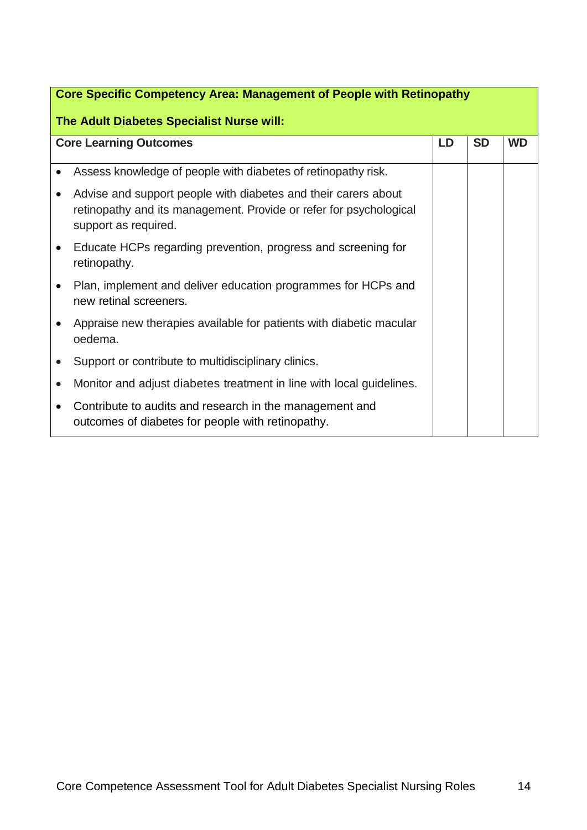| <b>Core Specific Competency Area: Management of People with Retinopathy</b><br>The Adult Diabetes Specialist Nurse will: |                                                                                                                                                              |  |           |           |
|--------------------------------------------------------------------------------------------------------------------------|--------------------------------------------------------------------------------------------------------------------------------------------------------------|--|-----------|-----------|
| <b>Core Learning Outcomes</b>                                                                                            |                                                                                                                                                              |  | <b>SD</b> | <b>WD</b> |
|                                                                                                                          | Assess knowledge of people with diabetes of retinopathy risk.                                                                                                |  |           |           |
|                                                                                                                          | Advise and support people with diabetes and their carers about<br>retinopathy and its management. Provide or refer for psychological<br>support as required. |  |           |           |
| $\bullet$                                                                                                                | Educate HCPs regarding prevention, progress and screening for<br>retinopathy.                                                                                |  |           |           |
|                                                                                                                          | Plan, implement and deliver education programmes for HCPs and<br>new retinal screeners.                                                                      |  |           |           |
|                                                                                                                          | Appraise new therapies available for patients with diabetic macular<br>oedema.                                                                               |  |           |           |
|                                                                                                                          | Support or contribute to multidisciplinary clinics.                                                                                                          |  |           |           |
|                                                                                                                          | Monitor and adjust diabetes treatment in line with local guidelines.                                                                                         |  |           |           |
| $\bullet$                                                                                                                | Contribute to audits and research in the management and<br>outcomes of diabetes for people with retinopathy.                                                 |  |           |           |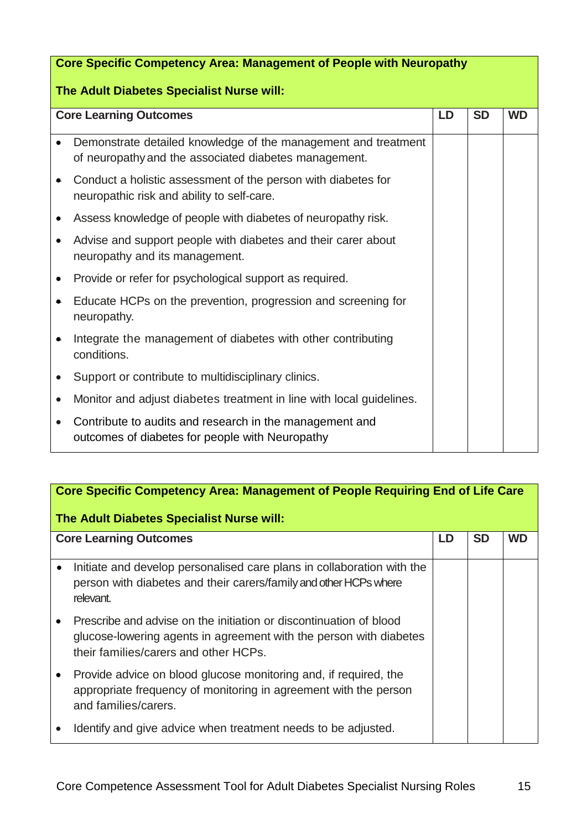| <b>Core Specific Competency Area: Management of People with Neuropathy</b> |                                                                                                                         |  |           |           |
|----------------------------------------------------------------------------|-------------------------------------------------------------------------------------------------------------------------|--|-----------|-----------|
| The Adult Diabetes Specialist Nurse will:                                  |                                                                                                                         |  |           |           |
| <b>Core Learning Outcomes</b><br>LD                                        |                                                                                                                         |  | <b>SD</b> | <b>WD</b> |
|                                                                            | Demonstrate detailed knowledge of the management and treatment<br>of neuropathy and the associated diabetes management. |  |           |           |
| ۰                                                                          | Conduct a holistic assessment of the person with diabetes for<br>neuropathic risk and ability to self-care.             |  |           |           |
|                                                                            | Assess knowledge of people with diabetes of neuropathy risk.                                                            |  |           |           |
|                                                                            | Advise and support people with diabetes and their carer about<br>neuropathy and its management.                         |  |           |           |
| $\bullet$                                                                  | Provide or refer for psychological support as required.                                                                 |  |           |           |
| ۰                                                                          | Educate HCPs on the prevention, progression and screening for<br>neuropathy.                                            |  |           |           |
|                                                                            | Integrate the management of diabetes with other contributing<br>conditions.                                             |  |           |           |
|                                                                            | Support or contribute to multidisciplinary clinics.                                                                     |  |           |           |
| $\bullet$                                                                  | Monitor and adjust diabetes treatment in line with local guidelines.                                                    |  |           |           |
|                                                                            | Contribute to audits and research in the management and<br>outcomes of diabetes for people with Neuropathy              |  |           |           |

| Core Specific Competency Area: Management of People Requiring End of Life Care<br>The Adult Diabetes Specialist Nurse will: |                                                                                                                                                                                   |  |           |           |
|-----------------------------------------------------------------------------------------------------------------------------|-----------------------------------------------------------------------------------------------------------------------------------------------------------------------------------|--|-----------|-----------|
| <b>Core Learning Outcomes</b>                                                                                               |                                                                                                                                                                                   |  | <b>SD</b> | <b>WD</b> |
| $\bullet$                                                                                                                   | Initiate and develop personalised care plans in collaboration with the<br>person with diabetes and their carers/family and other HCPs where<br>relevant.                          |  |           |           |
|                                                                                                                             | Prescribe and advise on the initiation or discontinuation of blood<br>glucose-lowering agents in agreement with the person with diabetes<br>their families/carers and other HCPs. |  |           |           |
|                                                                                                                             | Provide advice on blood glucose monitoring and, if required, the<br>appropriate frequency of monitoring in agreement with the person<br>and families/carers.                      |  |           |           |
|                                                                                                                             | Identify and give advice when treatment needs to be adjusted.                                                                                                                     |  |           |           |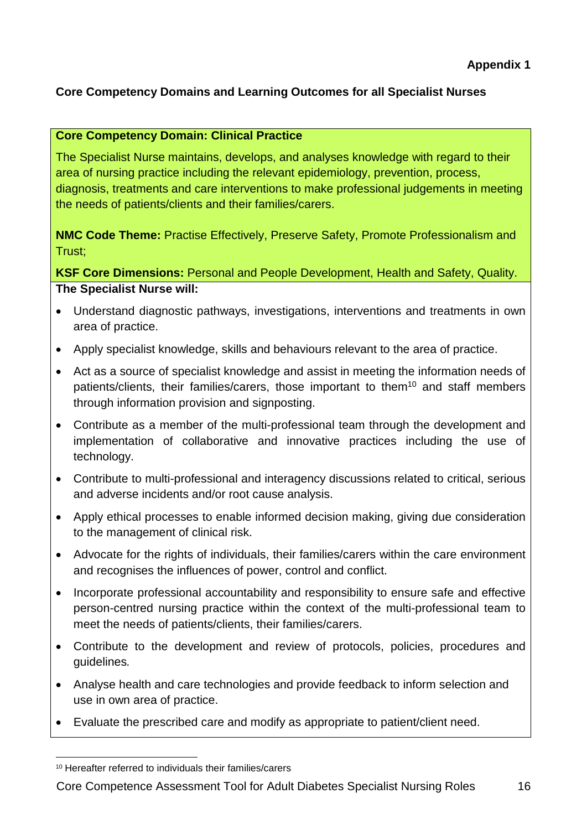#### **Core Competency Domain: Clinical Practice**

The Specialist Nurse maintains, develops, and analyses knowledge with regard to their area of nursing practice including the relevant epidemiology, prevention, process, diagnosis, treatments and care interventions to make professional judgements in meeting the needs of patients/clients and their families/carers.

**NMC Code Theme:** Practise Effectively, Preserve Safety, Promote Professionalism and Trust;

**KSF Core Dimensions:** Personal and People Development, Health and Safety, Quality. **The Specialist Nurse will:**

- Understand diagnostic pathways, investigations, interventions and treatments in own area of practice.
- Apply specialist knowledge, skills and behaviours relevant to the area of practice.
- Act as a source of specialist knowledge and assist in meeting the information needs of patients/clients, their families/carers, those important to them<sup>10</sup> and staff members through information provision and signposting.
- Contribute as a member of the multi-professional team through the development and implementation of collaborative and innovative practices including the use of technology.
- Contribute to multi-professional and interagency discussions related to critical, serious and adverse incidents and/or root cause analysis.
- Apply ethical processes to enable informed decision making, giving due consideration to the management of clinical risk.
- Advocate for the rights of individuals, their families/carers within the care environment and recognises the influences of power, control and conflict.
- Incorporate professional accountability and responsibility to ensure safe and effective person-centred nursing practice within the context of the multi-professional team to meet the needs of patients/clients, their families/carers.
- Contribute to the development and review of protocols, policies, procedures and guidelines*.*
- Analyse health and care technologies and provide feedback to inform selection and use in own area of practice.
- Evaluate the prescribed care and modify as appropriate to patient/client need.

<sup>10</sup> Hereafter referred to individuals their families/carers

Core Competence Assessment Tool for Adult Diabetes Specialist Nursing Roles 16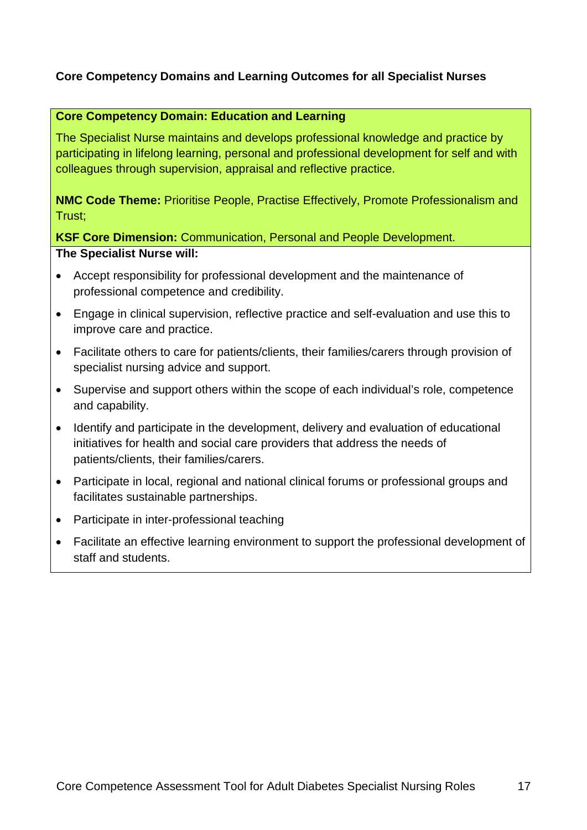#### **Core Competency Domain: Education and Learning**

The Specialist Nurse maintains and develops professional knowledge and practice by participating in lifelong learning, personal and professional development for self and with colleagues through supervision, appraisal and reflective practice.

**NMC Code Theme:** Prioritise People, Practise Effectively, Promote Professionalism and Trust;

**KSF Core Dimension:** Communication, Personal and People Development.

#### **The Specialist Nurse will:**

- Accept responsibility for professional development and the maintenance of professional competence and credibility.
- Engage in clinical supervision, reflective practice and self-evaluation and use this to improve care and practice.
- Facilitate others to care for patients/clients, their families/carers through provision of specialist nursing advice and support.
- Supervise and support others within the scope of each individual's role, competence and capability.
- Identify and participate in the development, delivery and evaluation of educational initiatives for health and social care providers that address the needs of patients/clients, their families/carers.
- Participate in local, regional and national clinical forums or professional groups and facilitates sustainable partnerships.
- Participate in inter-professional teaching
- Facilitate an effective learning environment to support the professional development of staff and students.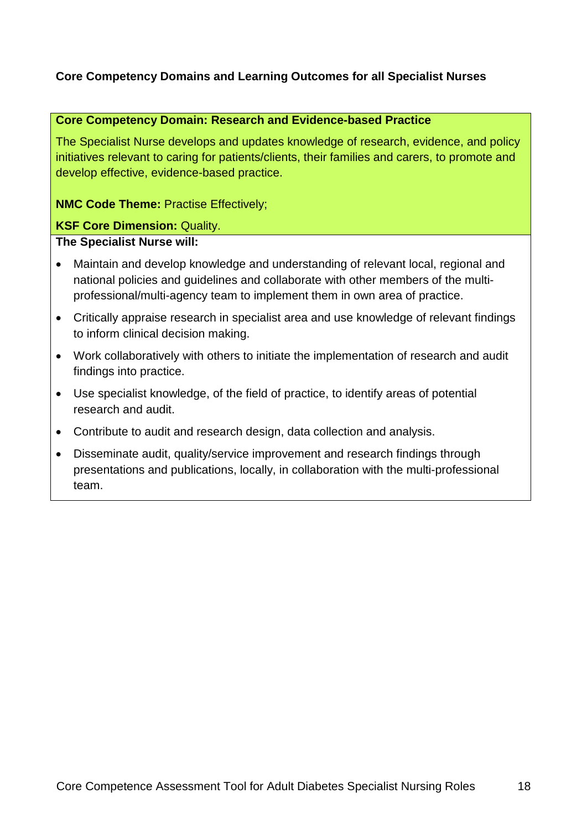#### **Core Competency Domain: Research and Evidence-based Practice**

The Specialist Nurse develops and updates knowledge of research, evidence, and policy initiatives relevant to caring for patients/clients, their families and carers, to promote and develop effective, evidence-based practice.

**NMC Code Theme:** Practise Effectively;

#### **KSF Core Dimension:** Quality.

#### **The Specialist Nurse will:**

- Maintain and develop knowledge and understanding of relevant local, regional and national policies and guidelines and collaborate with other members of the multiprofessional/multi-agency team to implement them in own area of practice.
- Critically appraise research in specialist area and use knowledge of relevant findings to inform clinical decision making.
- Work collaboratively with others to initiate the implementation of research and audit findings into practice.
- Use specialist knowledge, of the field of practice, to identify areas of potential research and audit.
- Contribute to audit and research design, data collection and analysis.
- Disseminate audit, quality/service improvement and research findings through presentations and publications, locally, in collaboration with the multi-professional team.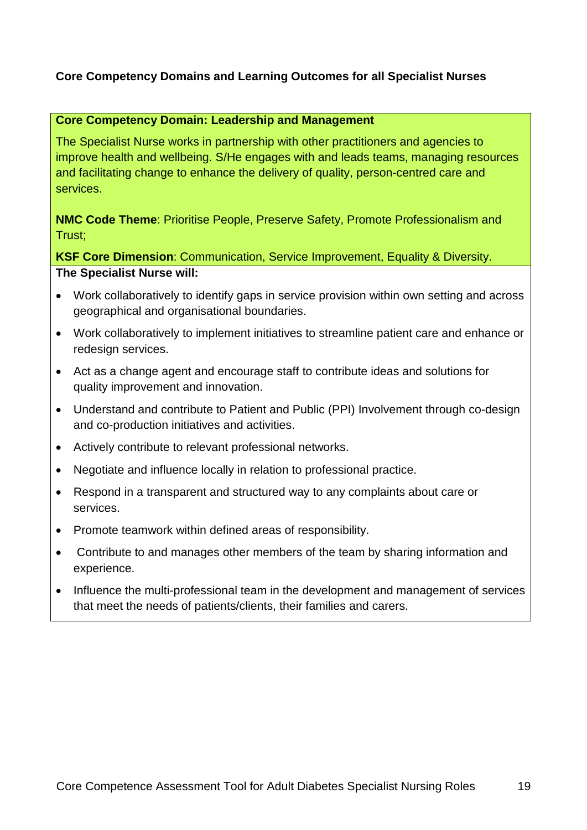#### **Core Competency Domain: Leadership and Management**

The Specialist Nurse works in partnership with other practitioners and agencies to improve health and wellbeing. S/He engages with and leads teams, managing resources and facilitating change to enhance the delivery of quality, person-centred care and services.

**NMC Code Theme**: Prioritise People, Preserve Safety, Promote Professionalism and Trust;

**KSF Core Dimension**: Communication, Service Improvement, Equality & Diversity. **The Specialist Nurse will:**

- Work collaboratively to identify gaps in service provision within own setting and across geographical and organisational boundaries.
- Work collaboratively to implement initiatives to streamline patient care and enhance or redesign services.
- Act as a change agent and encourage staff to contribute ideas and solutions for quality improvement and innovation.
- Understand and contribute to Patient and Public (PPI) Involvement through co-design and co-production initiatives and activities.
- Actively contribute to relevant professional networks.
- Negotiate and influence locally in relation to professional practice.
- Respond in a transparent and structured way to any complaints about care or services.
- Promote teamwork within defined areas of responsibility.
- Contribute to and manages other members of the team by sharing information and experience.
- Influence the multi-professional team in the development and management of services that meet the needs of patients/clients, their families and carers.